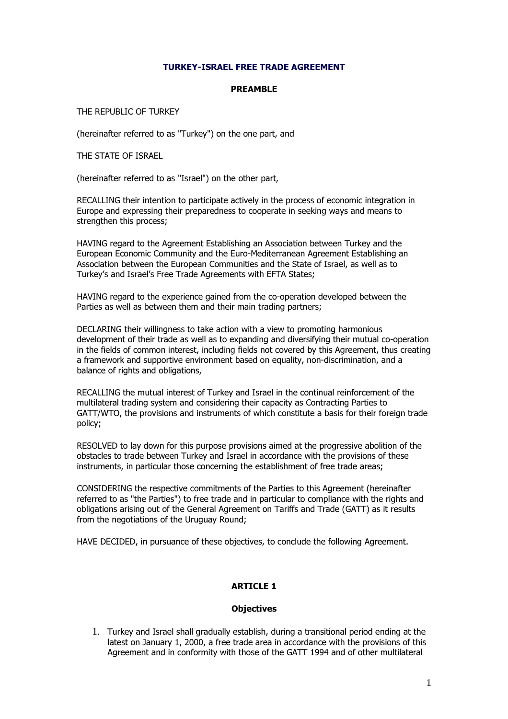# TURKEY-ISRAEL FREE TRADE AGREEMENT

#### PREAMBLE

THE REPUBLIC OF TURKEY

(hereinafter referred to as "Turkey") on the one part, and

THE STATE OF ISRAEL

(hereinafter referred to as "Israel") on the other part,

RECALLING their intention to participate actively in the process of economic integration in Europe and expressing their preparedness to cooperate in seeking ways and means to strengthen this process;

HAVING regard to the Agreement Establishing an Association between Turkey and the European Economic Community and the Euro-Mediterranean Agreement Establishing an Association between the European Communities and the State of Israel, as well as to Turkey's and Israel's Free Trade Agreements with EFTA States;

HAVING regard to the experience gained from the co-operation developed between the Parties as well as between them and their main trading partners;

DECLARING their willingness to take action with a view to promoting harmonious development of their trade as well as to expanding and diversifying their mutual co-operation in the fields of common interest, including fields not covered by this Agreement, thus creating a framework and supportive environment based on equality, non-discrimination, and a balance of rights and obligations,

RECALLING the mutual interest of Turkey and Israel in the continual reinforcement of the multilateral trading system and considering their capacity as Contracting Parties to GATT/WTO, the provisions and instruments of which constitute a basis for their foreign trade policy;

RESOLVED to lay down for this purpose provisions aimed at the progressive abolition of the obstacles to trade between Turkey and Israel in accordance with the provisions of these instruments, in particular those concerning the establishment of free trade areas;

CONSIDERING the respective commitments of the Parties to this Agreement (hereinafter referred to as "the Parties") to free trade and in particular to compliance with the rights and obligations arising out of the General Agreement on Tariffs and Trade (GATT) as it results from the negotiations of the Uruguay Round;

HAVE DECIDED, in pursuance of these objectives, to conclude the following Agreement.

# ARTICLE 1

# **Objectives**

1. Turkey and Israel shall gradually establish, during a transitional period ending at the latest on January 1, 2000, a free trade area in accordance with the provisions of this Agreement and in conformity with those of the GATT 1994 and of other multilateral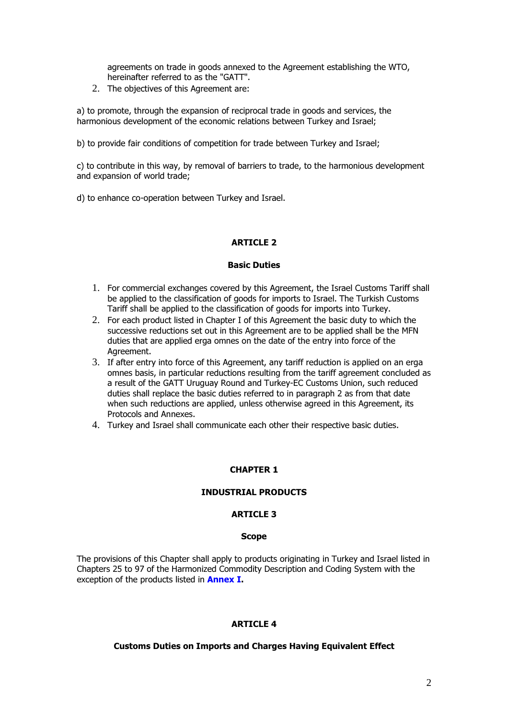agreements on trade in goods annexed to the Agreement establishing the WTO, hereinafter referred to as the "GATT".

2. The objectives of this Agreement are:

a) to promote, through the expansion of reciprocal trade in goods and services, the harmonious development of the economic relations between Turkey and Israel;

b) to provide fair conditions of competition for trade between Turkey and Israel;

c) to contribute in this way, by removal of barriers to trade, to the harmonious development and expansion of world trade;

d) to enhance co-operation between Turkey and Israel.

# ARTICLE 2

#### Basic Duties

- 1. For commercial exchanges covered by this Agreement, the Israel Customs Tariff shall be applied to the classification of goods for imports to Israel. The Turkish Customs Tariff shall be applied to the classification of goods for imports into Turkey.
- 2. For each product listed in Chapter I of this Agreement the basic duty to which the successive reductions set out in this Agreement are to be applied shall be the MFN duties that are applied erga omnes on the date of the entry into force of the Agreement.
- 3. If after entry into force of this Agreement, any tariff reduction is applied on an erga omnes basis, in particular reductions resulting from the tariff agreement concluded as a result of the GATT Uruguay Round and Turkey-EC Customs Union, such reduced duties shall replace the basic duties referred to in paragraph 2 as from that date when such reductions are applied, unless otherwise agreed in this Agreement, its Protocols and Annexes.
- 4. Turkey and Israel shall communicate each other their respective basic duties.

# CHAPTER 1

# INDUSTRIAL PRODUCTS

### ARTICLE 3

#### **Scope**

The provisions of this Chapter shall apply to products originating in Turkey and Israel listed in Chapters 25 to 97 of the Harmonized Commodity Description and Coding System with the exception of the products listed in **Annex I.** 

# **ARTICLE 4**

# Customs Duties on Imports and Charges Having Equivalent Effect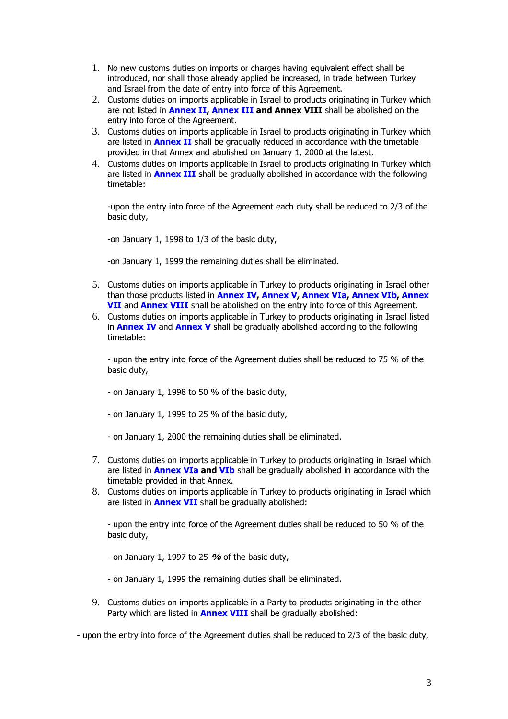- 1. No new customs duties on imports or charges having equivalent effect shall be introduced, nor shall those already applied be increased, in trade between Turkey and Israel from the date of entry into force of this Agreement.
- 2. Customs duties on imports applicable in Israel to products originating in Turkey which are not listed in **Annex II, Annex III and Annex VIII** shall be abolished on the entry into force of the Agreement.
- 3. Customs duties on imports applicable in Israel to products originating in Turkey which are listed in **Annex II** shall be gradually reduced in accordance with the timetable provided in that Annex and abolished on January 1, 2000 at the latest.
- 4. Customs duties on imports applicable in Israel to products originating in Turkey which are listed in **Annex III** shall be gradually abolished in accordance with the following timetable:

-upon the entry into force of the Agreement each duty shall be reduced to 2/3 of the basic duty,

-on January 1, 1998 to 1/3 of the basic duty,

-on January 1, 1999 the remaining duties shall be eliminated.

- 5. Customs duties on imports applicable in Turkey to products originating in Israel other than those products listed in Annex IV, Annex V, Annex VIa, Annex VIb, Annex VII and Annex VIII shall be abolished on the entry into force of this Agreement.
- 6. Customs duties on imports applicable in Turkey to products originating in Israel listed in **Annex IV** and **Annex V** shall be gradually abolished according to the following timetable:

- upon the entry into force of the Agreement duties shall be reduced to 75 % of the basic duty,

- on January 1, 1998 to 50 % of the basic duty,
- on January 1, 1999 to 25 % of the basic duty,
- on January 1, 2000 the remaining duties shall be eliminated.
- 7. Customs duties on imports applicable in Turkey to products originating in Israel which are listed in **Annex VIa and VIb** shall be gradually abolished in accordance with the timetable provided in that Annex.
- 8. Customs duties on imports applicable in Turkey to products originating in Israel which are listed in **Annex VII** shall be gradually abolished:

- upon the entry into force of the Agreement duties shall be reduced to 50 % of the basic duty,

- on January 1, 1997 to 25  $%$  of the basic duty,

- on January 1, 1999 the remaining duties shall be eliminated.

9. Customs duties on imports applicable in a Party to products originating in the other Party which are listed in **Annex VIII** shall be gradually abolished:

- upon the entry into force of the Agreement duties shall be reduced to 2/3 of the basic duty,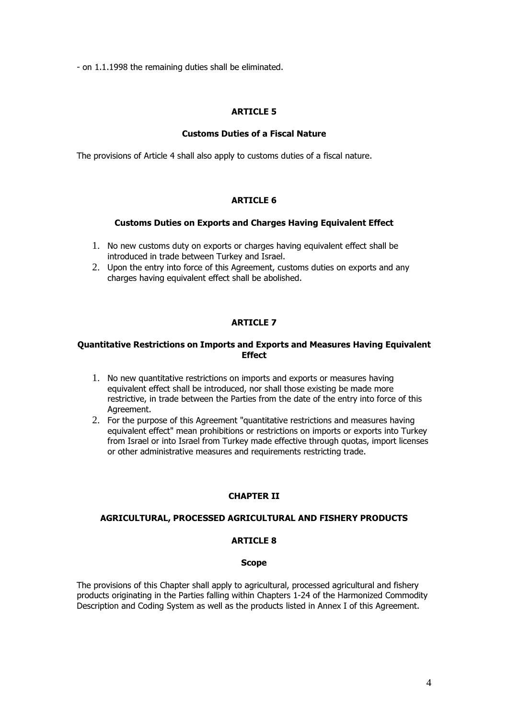- on 1.1.1998 the remaining duties shall be eliminated.

# ARTICLE 5

# Customs Duties of a Fiscal Nature

The provisions of Article 4 shall also apply to customs duties of a fiscal nature.

# ARTICLE 6

# Customs Duties on Exports and Charges Having Equivalent Effect

- 1. No new customs duty on exports or charges having equivalent effect shall be introduced in trade between Turkey and Israel.
- 2. Upon the entry into force of this Agreement, customs duties on exports and any charges having equivalent effect shall be abolished.

# **ARTICLE 7**

### Quantitative Restrictions on Imports and Exports and Measures Having Equivalent **Fffect**

- 1. No new quantitative restrictions on imports and exports or measures having equivalent effect shall be introduced, nor shall those existing be made more restrictive, in trade between the Parties from the date of the entry into force of this Agreement.
- 2. For the purpose of this Agreement "quantitative restrictions and measures having equivalent effect" mean prohibitions or restrictions on imports or exports into Turkey from Israel or into Israel from Turkey made effective through quotas, import licenses or other administrative measures and requirements restricting trade.

# CHAPTER II

# AGRICULTURAL, PROCESSED AGRICULTURAL AND FISHERY PRODUCTS

### ARTICLE 8

#### Scope

The provisions of this Chapter shall apply to agricultural, processed agricultural and fishery products originating in the Parties falling within Chapters 1-24 of the Harmonized Commodity Description and Coding System as well as the products listed in Annex I of this Agreement.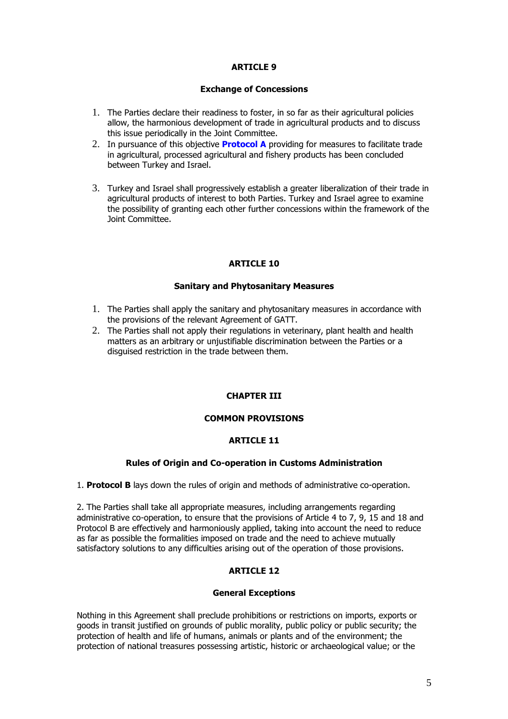### Exchange of Concessions

- 1. The Parties declare their readiness to foster, in so far as their agricultural policies allow, the harmonious development of trade in agricultural products and to discuss this issue periodically in the Joint Committee.
- 2. In pursuance of this objective **Protocol A** providing for measures to facilitate trade in agricultural, processed agricultural and fishery products has been concluded between Turkey and Israel.
- 3. Turkey and Israel shall progressively establish a greater liberalization of their trade in agricultural products of interest to both Parties. Turkey and Israel agree to examine the possibility of granting each other further concessions within the framework of the Joint Committee.

# ARTICLE 10

# Sanitary and Phytosanitary Measures

- 1. The Parties shall apply the sanitary and phytosanitary measures in accordance with the provisions of the relevant Agreement of GATT.
- 2. The Parties shall not apply their regulations in veterinary, plant health and health matters as an arbitrary or unjustifiable discrimination between the Parties or a disguised restriction in the trade between them.

# CHAPTER III

# COMMON PROVISIONS

# ARTICLE 11

# Rules of Origin and Co-operation in Customs Administration

1. Protocol B lays down the rules of origin and methods of administrative co-operation.

2. The Parties shall take all appropriate measures, including arrangements regarding administrative co-operation, to ensure that the provisions of Article 4 to 7, 9, 15 and 18 and Protocol B are effectively and harmoniously applied, taking into account the need to reduce as far as possible the formalities imposed on trade and the need to achieve mutually satisfactory solutions to any difficulties arising out of the operation of those provisions.

# ARTICLE 12

# General Exceptions

Nothing in this Agreement shall preclude prohibitions or restrictions on imports, exports or goods in transit justified on grounds of public morality, public policy or public security; the protection of health and life of humans, animals or plants and of the environment; the protection of national treasures possessing artistic, historic or archaeological value; or the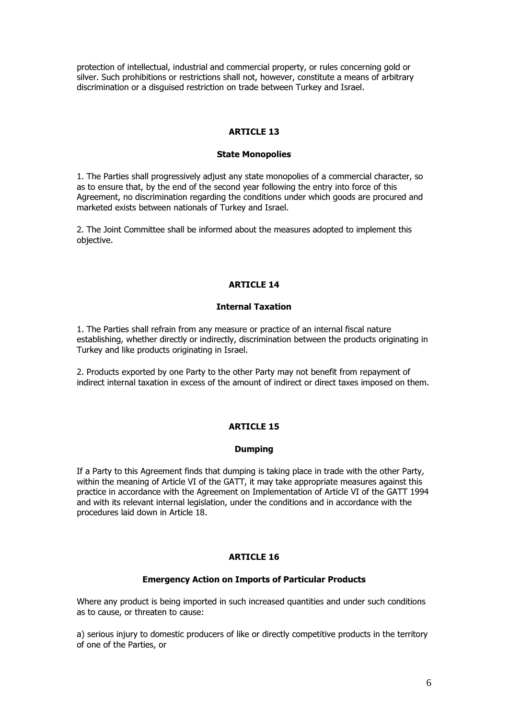protection of intellectual, industrial and commercial property, or rules concerning gold or silver. Such prohibitions or restrictions shall not, however, constitute a means of arbitrary discrimination or a disguised restriction on trade between Turkey and Israel.

# ARTICLE 13

#### State Monopolies

1. The Parties shall progressively adjust any state monopolies of a commercial character, so as to ensure that, by the end of the second year following the entry into force of this Agreement, no discrimination regarding the conditions under which goods are procured and marketed exists between nationals of Turkey and Israel.

2. The Joint Committee shall be informed about the measures adopted to implement this objective.

### ARTICLE 14

#### Internal Taxation

1. The Parties shall refrain from any measure or practice of an internal fiscal nature establishing, whether directly or indirectly, discrimination between the products originating in Turkey and like products originating in Israel.

2. Products exported by one Party to the other Party may not benefit from repayment of indirect internal taxation in excess of the amount of indirect or direct taxes imposed on them.

#### ARTICLE 15

#### Dumping

If a Party to this Agreement finds that dumping is taking place in trade with the other Party, within the meaning of Article VI of the GATT, it may take appropriate measures against this practice in accordance with the Agreement on Implementation of Article VI of the GATT 1994 and with its relevant internal legislation, under the conditions and in accordance with the procedures laid down in Article 18.

# ARTICLE 16

#### Emergency Action on Imports of Particular Products

Where any product is being imported in such increased quantities and under such conditions as to cause, or threaten to cause:

a) serious injury to domestic producers of like or directly competitive products in the territory of one of the Parties, or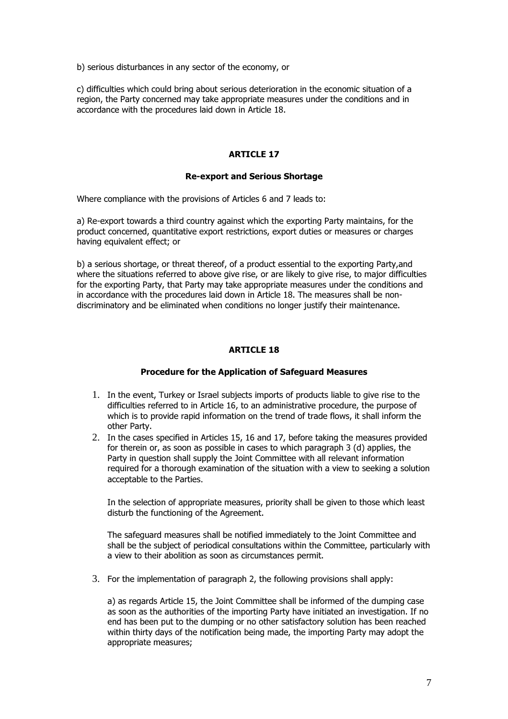b) serious disturbances in any sector of the economy, or

c) difficulties which could bring about serious deterioration in the economic situation of a region, the Party concerned may take appropriate measures under the conditions and in accordance with the procedures laid down in Article 18.

# ARTICLE 17

# Re-export and Serious Shortage

Where compliance with the provisions of Articles 6 and 7 leads to:

a) Re-export towards a third country against which the exporting Party maintains, for the product concerned, quantitative export restrictions, export duties or measures or charges having equivalent effect; or

b) a serious shortage, or threat thereof, of a product essential to the exporting Party,and where the situations referred to above give rise, or are likely to give rise, to major difficulties for the exporting Party, that Party may take appropriate measures under the conditions and in accordance with the procedures laid down in Article 18. The measures shall be nondiscriminatory and be eliminated when conditions no longer justify their maintenance.

# ARTICLE 18

# Procedure for the Application of Safeguard Measures

- 1. In the event, Turkey or Israel subjects imports of products liable to give rise to the difficulties referred to in Article 16, to an administrative procedure, the purpose of which is to provide rapid information on the trend of trade flows, it shall inform the other Party.
- 2. In the cases specified in Articles 15, 16 and 17, before taking the measures provided for therein or, as soon as possible in cases to which paragraph 3 (d) applies, the Party in question shall supply the Joint Committee with all relevant information required for a thorough examination of the situation with a view to seeking a solution acceptable to the Parties.

In the selection of appropriate measures, priority shall be given to those which least disturb the functioning of the Agreement.

The safeguard measures shall be notified immediately to the Joint Committee and shall be the subject of periodical consultations within the Committee, particularly with a view to their abolition as soon as circumstances permit.

3. For the implementation of paragraph 2, the following provisions shall apply:

a) as regards Article 15, the Joint Committee shall be informed of the dumping case as soon as the authorities of the importing Party have initiated an investigation. If no end has been put to the dumping or no other satisfactory solution has been reached within thirty days of the notification being made, the importing Party may adopt the appropriate measures;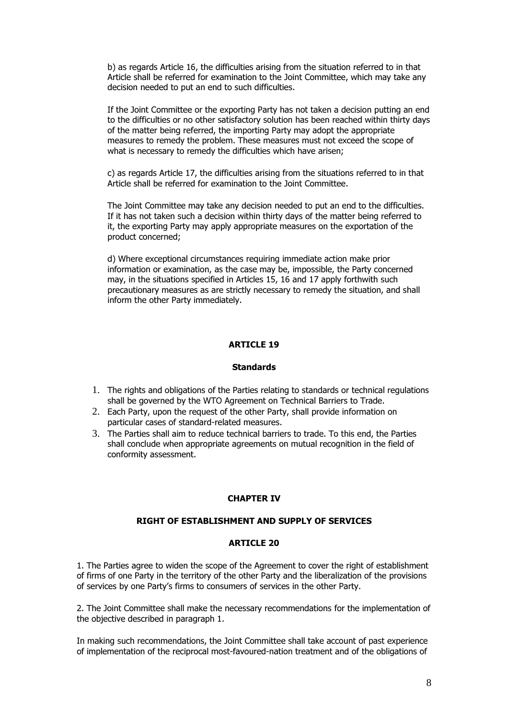b) as regards Article 16, the difficulties arising from the situation referred to in that Article shall be referred for examination to the Joint Committee, which may take any decision needed to put an end to such difficulties.

If the Joint Committee or the exporting Party has not taken a decision putting an end to the difficulties or no other satisfactory solution has been reached within thirty days of the matter being referred, the importing Party may adopt the appropriate measures to remedy the problem. These measures must not exceed the scope of what is necessary to remedy the difficulties which have arisen;

c) as regards Article 17, the difficulties arising from the situations referred to in that Article shall be referred for examination to the Joint Committee.

The Joint Committee may take any decision needed to put an end to the difficulties. If it has not taken such a decision within thirty days of the matter being referred to it, the exporting Party may apply appropriate measures on the exportation of the product concerned;

d) Where exceptional circumstances requiring immediate action make prior information or examination, as the case may be, impossible, the Party concerned may, in the situations specified in Articles 15, 16 and 17 apply forthwith such precautionary measures as are strictly necessary to remedy the situation, and shall inform the other Party immediately.

# **ARTICLE 19**

#### **Standards**

- 1. The rights and obligations of the Parties relating to standards or technical regulations shall be governed by the WTO Agreement on Technical Barriers to Trade.
- 2. Each Party, upon the request of the other Party, shall provide information on particular cases of standard-related measures.
- 3. The Parties shall aim to reduce technical barriers to trade. To this end, the Parties shall conclude when appropriate agreements on mutual recognition in the field of conformity assessment.

#### CHAPTER IV

#### RIGHT OF ESTABLISHMENT AND SUPPLY OF SERVICES

### ARTICLE 20

1. The Parties agree to widen the scope of the Agreement to cover the right of establishment of firms of one Party in the territory of the other Party and the liberalization of the provisions of services by one Party's firms to consumers of services in the other Party.

2. The Joint Committee shall make the necessary recommendations for the implementation of the objective described in paragraph 1.

In making such recommendations, the Joint Committee shall take account of past experience of implementation of the reciprocal most-favoured-nation treatment and of the obligations of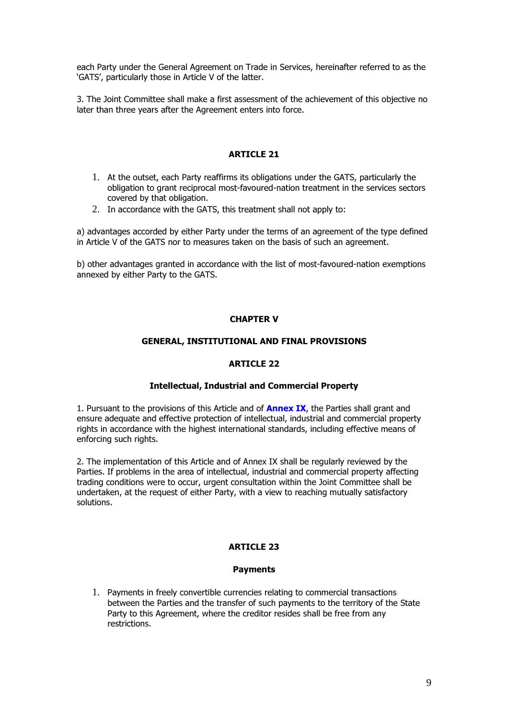each Party under the General Agreement on Trade in Services, hereinafter referred to as the 'GATS', particularly those in Article V of the latter.

3. The Joint Committee shall make a first assessment of the achievement of this objective no later than three years after the Agreement enters into force.

# ARTICLE 21

- 1. At the outset, each Party reaffirms its obligations under the GATS, particularly the obligation to grant reciprocal most-favoured-nation treatment in the services sectors covered by that obligation.
- 2. In accordance with the GATS, this treatment shall not apply to:

a) advantages accorded by either Party under the terms of an agreement of the type defined in Article V of the GATS nor to measures taken on the basis of such an agreement.

b) other advantages granted in accordance with the list of most-favoured-nation exemptions annexed by either Party to the GATS.

# CHAPTER V

# GENERAL, INSTITUTIONAL AND FINAL PROVISIONS

# ARTICLE 22

# Intellectual, Industrial and Commercial Property

1. Pursuant to the provisions of this Article and of **Annex IX**, the Parties shall grant and ensure adequate and effective protection of intellectual, industrial and commercial property rights in accordance with the highest international standards, including effective means of enforcing such rights.

2. The implementation of this Article and of Annex IX shall be regularly reviewed by the Parties. If problems in the area of intellectual, industrial and commercial property affecting trading conditions were to occur, urgent consultation within the Joint Committee shall be undertaken, at the request of either Party, with a view to reaching mutually satisfactory solutions.

# ARTICLE 23

#### **Payments**

1. Payments in freely convertible currencies relating to commercial transactions between the Parties and the transfer of such payments to the territory of the State Party to this Agreement, where the creditor resides shall be free from any restrictions.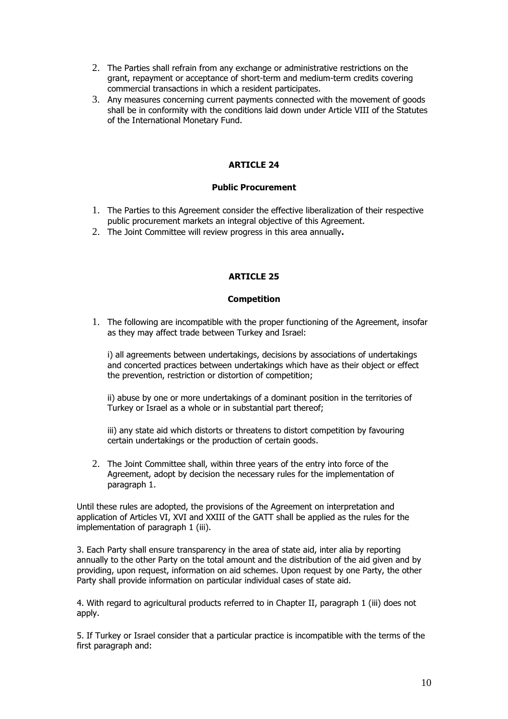- 2. The Parties shall refrain from any exchange or administrative restrictions on the grant, repayment or acceptance of short-term and medium-term credits covering commercial transactions in which a resident participates.
- 3. Any measures concerning current payments connected with the movement of goods shall be in conformity with the conditions laid down under Article VIII of the Statutes of the International Monetary Fund.

#### Public Procurement

- 1. The Parties to this Agreement consider the effective liberalization of their respective public procurement markets an integral objective of this Agreement.
- 2. The Joint Committee will review progress in this area annually.

# ARTICLE 25

#### Competition

1. The following are incompatible with the proper functioning of the Agreement, insofar as they may affect trade between Turkey and Israel:

i) all agreements between undertakings, decisions by associations of undertakings and concerted practices between undertakings which have as their object or effect the prevention, restriction or distortion of competition;

ii) abuse by one or more undertakings of a dominant position in the territories of Turkey or Israel as a whole or in substantial part thereof;

iii) any state aid which distorts or threatens to distort competition by favouring certain undertakings or the production of certain goods.

2. The Joint Committee shall, within three years of the entry into force of the Agreement, adopt by decision the necessary rules for the implementation of paragraph 1.

Until these rules are adopted, the provisions of the Agreement on interpretation and application of Articles VI, XVI and XXIII of the GATT shall be applied as the rules for the implementation of paragraph 1 (iii).

3. Each Party shall ensure transparency in the area of state aid, inter alia by reporting annually to the other Party on the total amount and the distribution of the aid given and by providing, upon request, information on aid schemes. Upon request by one Party, the other Party shall provide information on particular individual cases of state aid.

4. With regard to agricultural products referred to in Chapter II, paragraph 1 (iii) does not apply.

5. If Turkey or Israel consider that a particular practice is incompatible with the terms of the first paragraph and: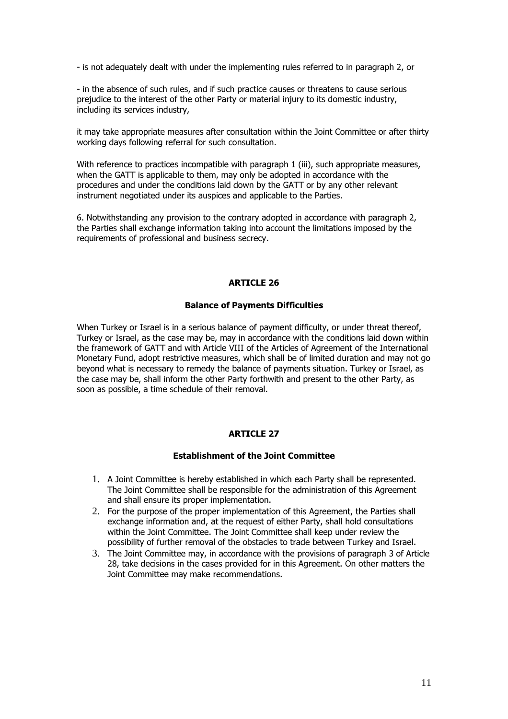- is not adequately dealt with under the implementing rules referred to in paragraph 2, or

- in the absence of such rules, and if such practice causes or threatens to cause serious prejudice to the interest of the other Party or material injury to its domestic industry, including its services industry,

it may take appropriate measures after consultation within the Joint Committee or after thirty working days following referral for such consultation.

With reference to practices incompatible with paragraph 1 (iii), such appropriate measures, when the GATT is applicable to them, may only be adopted in accordance with the procedures and under the conditions laid down by the GATT or by any other relevant instrument negotiated under its auspices and applicable to the Parties.

6. Notwithstanding any provision to the contrary adopted in accordance with paragraph 2, the Parties shall exchange information taking into account the limitations imposed by the requirements of professional and business secrecy.

#### ARTICLE 26

#### Balance of Payments Difficulties

When Turkey or Israel is in a serious balance of payment difficulty, or under threat thereof, Turkey or Israel, as the case may be, may in accordance with the conditions laid down within the framework of GATT and with Article VIII of the Articles of Agreement of the International Monetary Fund, adopt restrictive measures, which shall be of limited duration and may not go beyond what is necessary to remedy the balance of payments situation. Turkey or Israel, as the case may be, shall inform the other Party forthwith and present to the other Party, as soon as possible, a time schedule of their removal.

# ARTICLE 27

### Establishment of the Joint Committee

- 1. A Joint Committee is hereby established in which each Party shall be represented. The Joint Committee shall be responsible for the administration of this Agreement and shall ensure its proper implementation.
- 2. For the purpose of the proper implementation of this Agreement, the Parties shall exchange information and, at the request of either Party, shall hold consultations within the Joint Committee. The Joint Committee shall keep under review the possibility of further removal of the obstacles to trade between Turkey and Israel.
- 3. The Joint Committee may, in accordance with the provisions of paragraph 3 of Article 28, take decisions in the cases provided for in this Agreement. On other matters the Joint Committee may make recommendations.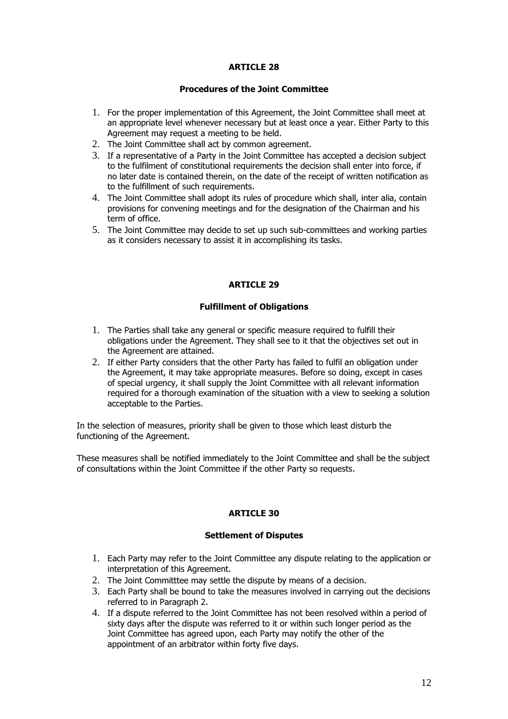# Procedures of the Joint Committee

- 1. For the proper implementation of this Agreement, the Joint Committee shall meet at an appropriate level whenever necessary but at least once a year. Either Party to this Agreement may request a meeting to be held.
- 2. The Joint Committee shall act by common agreement.
- 3. If a representative of a Party in the Joint Committee has accepted a decision subject to the fulfilment of constitutional requirements the decision shall enter into force, if no later date is contained therein, on the date of the receipt of written notification as to the fulfillment of such requirements.
- 4. The Joint Committee shall adopt its rules of procedure which shall, inter alia, contain provisions for convening meetings and for the designation of the Chairman and his term of office.
- 5. The Joint Committee may decide to set up such sub-committees and working parties as it considers necessary to assist it in accomplishing its tasks.

# ARTICLE 29

# Fulfillment of Obligations

- 1. The Parties shall take any general or specific measure required to fulfill their obligations under the Agreement. They shall see to it that the objectives set out in the Agreement are attained.
- 2. If either Party considers that the other Party has failed to fulfil an obligation under the Agreement, it may take appropriate measures. Before so doing, except in cases of special urgency, it shall supply the Joint Committee with all relevant information required for a thorough examination of the situation with a view to seeking a solution acceptable to the Parties.

In the selection of measures, priority shall be given to those which least disturb the functioning of the Agreement.

These measures shall be notified immediately to the Joint Committee and shall be the subject of consultations within the Joint Committee if the other Party so requests.

# ARTICLE 30

# Settlement of Disputes

- 1. Each Party may refer to the Joint Committee any dispute relating to the application or interpretation of this Agreement.
- 2. The Joint Committtee may settle the dispute by means of a decision.
- 3. Each Party shall be bound to take the measures involved in carrying out the decisions referred to in Paragraph 2.
- 4. If a dispute referred to the Joint Committee has not been resolved within a period of sixty days after the dispute was referred to it or within such longer period as the Joint Committee has agreed upon, each Party may notify the other of the appointment of an arbitrator within forty five days.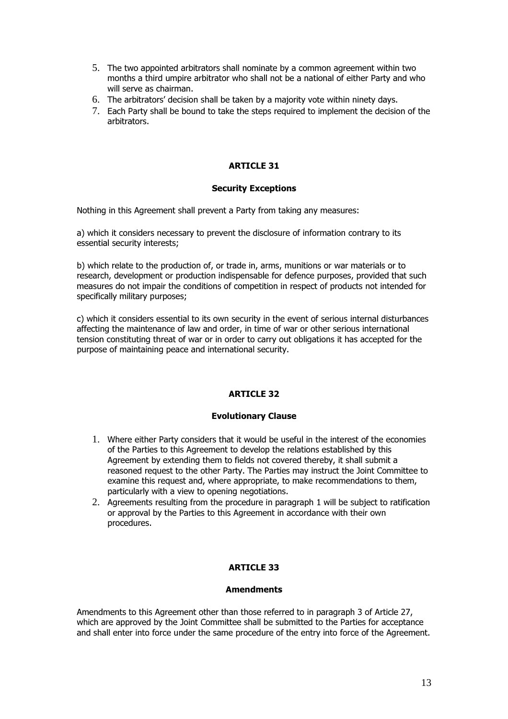- 5. The two appointed arbitrators shall nominate by a common agreement within two months a third umpire arbitrator who shall not be a national of either Party and who will serve as chairman.
- 6. The arbitrators' decision shall be taken by a majority vote within ninety days.
- 7. Each Party shall be bound to take the steps required to implement the decision of the arbitrators.

# Security Exceptions

Nothing in this Agreement shall prevent a Party from taking any measures:

a) which it considers necessary to prevent the disclosure of information contrary to its essential security interests;

b) which relate to the production of, or trade in, arms, munitions or war materials or to research, development or production indispensable for defence purposes, provided that such measures do not impair the conditions of competition in respect of products not intended for specifically military purposes;

c) which it considers essential to its own security in the event of serious internal disturbances affecting the maintenance of law and order, in time of war or other serious international tension constituting threat of war or in order to carry out obligations it has accepted for the purpose of maintaining peace and international security.

# ARTICLE 32

# Evolutionary Clause

- 1. Where either Party considers that it would be useful in the interest of the economies of the Parties to this Agreement to develop the relations established by this Agreement by extending them to fields not covered thereby, it shall submit a reasoned request to the other Party. The Parties may instruct the Joint Committee to examine this request and, where appropriate, to make recommendations to them, particularly with a view to opening negotiations.
- 2. Agreements resulting from the procedure in paragraph 1 will be subject to ratification or approval by the Parties to this Agreement in accordance with their own procedures.

# **ARTICLE 33**

# **Amendments**

Amendments to this Agreement other than those referred to in paragraph 3 of Article 27, which are approved by the Joint Committee shall be submitted to the Parties for acceptance and shall enter into force under the same procedure of the entry into force of the Agreement.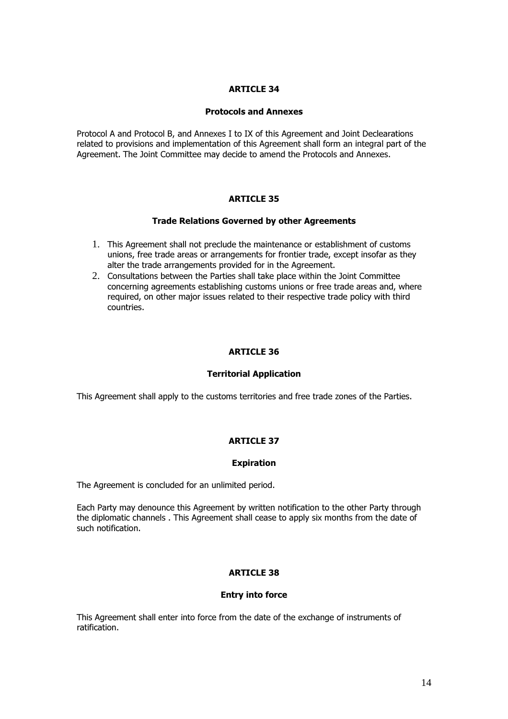# Protocols and Annexes

Protocol A and Protocol B, and Annexes I to IX of this Agreement and Joint Declearations related to provisions and implementation of this Agreement shall form an integral part of the Agreement. The Joint Committee may decide to amend the Protocols and Annexes.

# ARTICLE 35

# Trade Relations Governed by other Agreements

- 1. This Agreement shall not preclude the maintenance or establishment of customs unions, free trade areas or arrangements for frontier trade, except insofar as they alter the trade arrangements provided for in the Agreement.
- 2. Consultations between the Parties shall take place within the Joint Committee concerning agreements establishing customs unions or free trade areas and, where required, on other major issues related to their respective trade policy with third countries.

# ARTICLE 36

# Territorial Application

This Agreement shall apply to the customs territories and free trade zones of the Parties.

# ARTICLE 37

# Expiration

The Agreement is concluded for an unlimited period.

Each Party may denounce this Agreement by written notification to the other Party through the diplomatic channels . This Agreement shall cease to apply six months from the date of such notification.

# ARTICLE 38

# Entry into force

This Agreement shall enter into force from the date of the exchange of instruments of ratification.